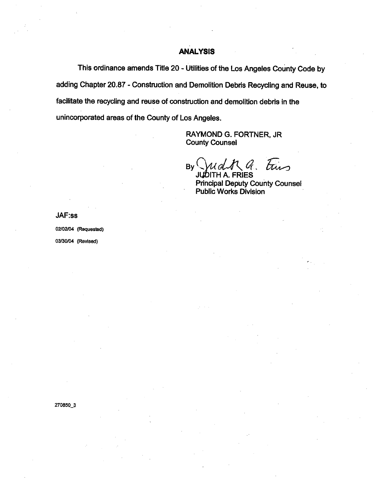## ANALYSIS

This ordinance amends Title 20 - Utilities of the Los Angeles County Code by adding Chapter 20.87 - Construction and Demolition Debris Recycling and Reuse. to faciltate the recycling and reuse of construction and demolition debris in the unincorporated areas of the County of Los Angeles.

> RAYMOND G. FORTNER. JR County Counsel

By Judk a. Ems

JUDITH A. FRIES Principal Deputy County Counsel Public Works Division

JAF:ss

02/02/04 (Requested) 03/30/04 (Revised)

270850\_3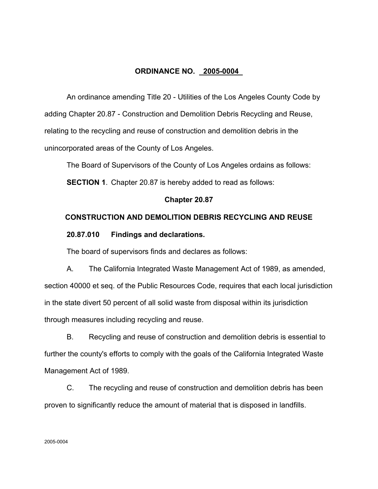# **ORDINANCE NO. 2005-0004**

An ordinance amending Title 20 - Utilities of the Los Angeles County Code by adding Chapter 20.87 - Construction and Demolition Debris Recycling and Reuse, relating to the recycling and reuse of construction and demolition debris in the unincorporated areas of the County of Los Angeles.

The Board of Supervisors of the County of Los Angeles ordains as follows:

**SECTION 1.** Chapter 20.87 is hereby added to read as follows:

# **Chapter 20.87**

# **CONSTRUCTION AND DEMOLITION DEBRIS RECYCLING AND REUSE**

# **20.87.010 Findings and declarations.**

The board of supervisors finds and declares as follows:

A. The California Integrated Waste Management Act of 1989, as amended, section 40000 et seq. of the Public Resources Code, requires that each local jurisdiction in the state divert 50 percent of all solid waste from disposal within its jurisdiction through measures including recycling and reuse.

B. Recycling and reuse of construction and demolition debris is essential to further the county's efforts to comply with the goals of the California Integrated Waste Management Act of 1989.

C. The recycling and reuse of construction and demolition debris has been proven to significantly reduce the amount of material that is disposed in landfills.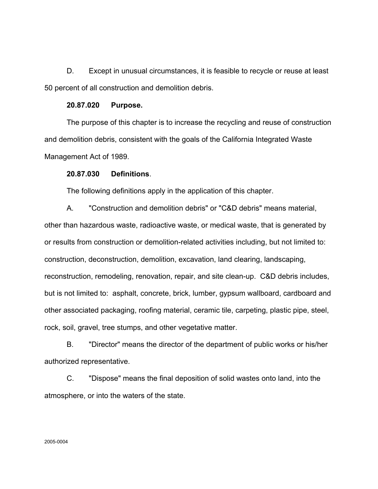D. Except in unusual circumstances, it is feasible to recycle or reuse at least 50 percent of all construction and demolition debris.

# **20.87.020 Purpose.**

The purpose of this chapter is to increase the recycling and reuse of construction and demolition debris, consistent with the goals of the California Integrated Waste Management Act of 1989.

## **20.87.030 Definitions**.

The following definitions apply in the application of this chapter.

A. "Construction and demolition debris" or "C&D debris" means material, other than hazardous waste, radioactive waste, or medical waste, that is generated by or results from construction or demolition-related activities including, but not limited to: construction, deconstruction, demolition, excavation, land clearing, landscaping, reconstruction, remodeling, renovation, repair, and site clean-up. C&D debris includes, but is not limited to: asphalt, concrete, brick, lumber, gypsum wallboard, cardboard and other associated packaging, roofing material, ceramic tile, carpeting, plastic pipe, steel, rock, soil, gravel, tree stumps, and other vegetative matter.

B. "Director" means the director of the department of public works or his/her authorized representative.

C. "Dispose" means the final deposition of solid wastes onto land, into the atmosphere, or into the waters of the state.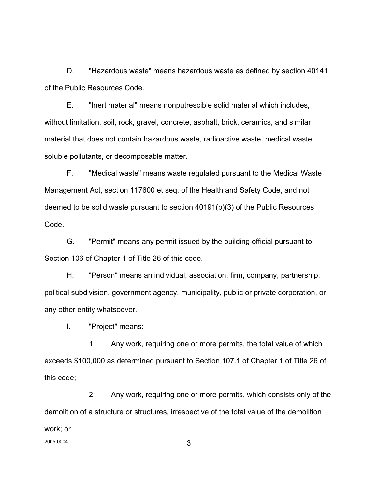D. "Hazardous waste" means hazardous waste as defined by section 40141 of the Public Resources Code.

E. "Inert material" means nonputrescible solid material which includes, without limitation, soil, rock, gravel, concrete, asphalt, brick, ceramics, and similar material that does not contain hazardous waste, radioactive waste, medical waste, soluble pollutants, or decomposable matter.

F. "Medical waste" means waste regulated pursuant to the Medical Waste Management Act, section 117600 et seq. of the Health and Safety Code, and not deemed to be solid waste pursuant to section 40191(b)(3) of the Public Resources Code.

G. "Permit" means any permit issued by the building official pursuant to Section 106 of Chapter 1 of Title 26 of this code.

H. "Person" means an individual, association, firm, company, partnership, political subdivision, government agency, municipality, public or private corporation, or any other entity whatsoever.

I. "Project" means:

1. Any work, requiring one or more permits, the total value of which exceeds \$100,000 as determined pursuant to Section 107.1 of Chapter 1 of Title 26 of this code;

2. Any work, requiring one or more permits, which consists only of the demolition of a structure or structures, irrespective of the total value of the demolition work; or 2005-0004 3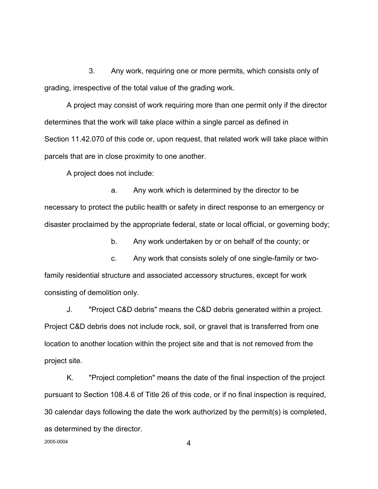3. Any work, requiring one or more permits, which consists only of grading, irrespective of the total value of the grading work.

A project may consist of work requiring more than one permit only if the director determines that the work will take place within a single parcel as defined in Section 11.42.070 of this code or, upon request, that related work will take place within parcels that are in close proximity to one another.

A project does not include:

a. Any work which is determined by the director to be necessary to protect the public health or safety in direct response to an emergency or disaster proclaimed by the appropriate federal, state or local official, or governing body;

b. Any work undertaken by or on behalf of the county; or

c. Any work that consists solely of one single-family or twofamily residential structure and associated accessory structures, except for work consisting of demolition only.

J. "Project C&D debris" means the C&D debris generated within a project. Project C&D debris does not include rock, soil, or gravel that is transferred from one location to another location within the project site and that is not removed from the project site.

K. "Project completion" means the date of the final inspection of the project pursuant to Section 108.4.6 of Title 26 of this code, or if no final inspection is required, 30 calendar days following the date the work authorized by the permit(s) is completed, as determined by the director.

 $2005-0004$  4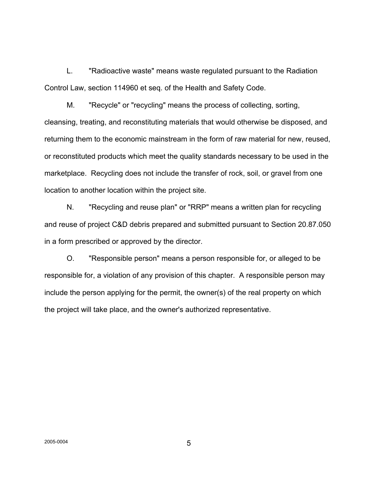L. "Radioactive waste" means waste regulated pursuant to the Radiation Control Law, section 114960 et seq. of the Health and Safety Code.

M. "Recycle" or "recycling" means the process of collecting, sorting, cleansing, treating, and reconstituting materials that would otherwise be disposed, and returning them to the economic mainstream in the form of raw material for new, reused, or reconstituted products which meet the quality standards necessary to be used in the marketplace. Recycling does not include the transfer of rock, soil, or gravel from one location to another location within the project site.

N. "Recycling and reuse plan" or "RRP" means a written plan for recycling and reuse of project C&D debris prepared and submitted pursuant to Section 20.87.050 in a form prescribed or approved by the director.

O. "Responsible person" means a person responsible for, or alleged to be responsible for, a violation of any provision of this chapter. A responsible person may include the person applying for the permit, the owner(s) of the real property on which the project will take place, and the owner's authorized representative.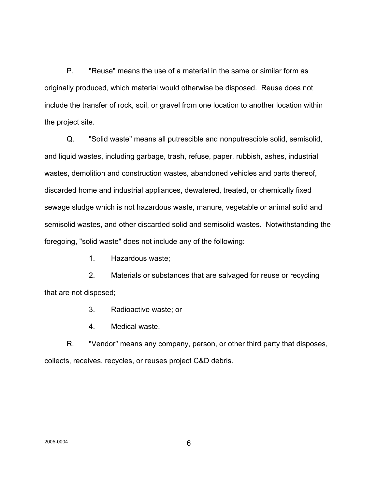P. "Reuse" means the use of a material in the same or similar form as originally produced, which material would otherwise be disposed. Reuse does not include the transfer of rock, soil, or gravel from one location to another location within the project site.

Q. "Solid waste" means all putrescible and nonputrescible solid, semisolid, and liquid wastes, including garbage, trash, refuse, paper, rubbish, ashes, industrial wastes, demolition and construction wastes, abandoned vehicles and parts thereof, discarded home and industrial appliances, dewatered, treated, or chemically fixed sewage sludge which is not hazardous waste, manure, vegetable or animal solid and semisolid wastes, and other discarded solid and semisolid wastes. Notwithstanding the foregoing, "solid waste" does not include any of the following:

1. Hazardous waste;

2. Materials or substances that are salvaged for reuse or recycling that are not disposed;

3. Radioactive waste; or

4. Medical waste.

R. "Vendor" means any company, person, or other third party that disposes, collects, receives, recycles, or reuses project C&D debris.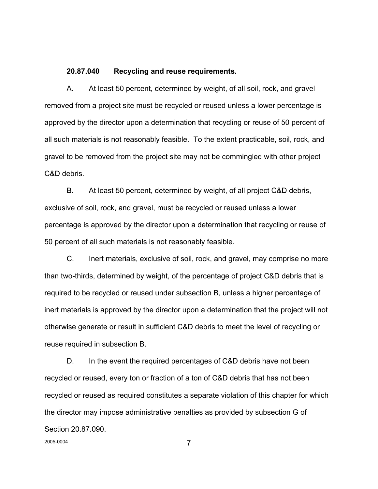### **20.87.040 Recycling and reuse requirements.**

A. At least 50 percent, determined by weight, of all soil, rock, and gravel removed from a project site must be recycled or reused unless a lower percentage is approved by the director upon a determination that recycling or reuse of 50 percent of all such materials is not reasonably feasible. To the extent practicable, soil, rock, and gravel to be removed from the project site may not be commingled with other project C&D debris.

B. At least 50 percent, determined by weight, of all project C&D debris, exclusive of soil, rock, and gravel, must be recycled or reused unless a lower percentage is approved by the director upon a determination that recycling or reuse of 50 percent of all such materials is not reasonably feasible.

C. Inert materials, exclusive of soil, rock, and gravel, may comprise no more than two-thirds, determined by weight, of the percentage of project C&D debris that is required to be recycled or reused under subsection B, unless a higher percentage of inert materials is approved by the director upon a determination that the project will not otherwise generate or result in sufficient C&D debris to meet the level of recycling or reuse required in subsection B.

D. In the event the required percentages of C&D debris have not been recycled or reused, every ton or fraction of a ton of C&D debris that has not been recycled or reused as required constitutes a separate violation of this chapter for which the director may impose administrative penalties as provided by subsection G of Section 20.87.090.

2005-0004 **7**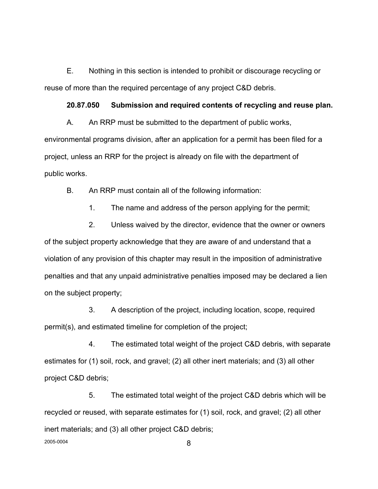E. Nothing in this section is intended to prohibit or discourage recycling or reuse of more than the required percentage of any project C&D debris.

## **20.87.050 Submission and required contents of recycling and reuse plan.**

A. An RRP must be submitted to the department of public works, environmental programs division, after an application for a permit has been filed for a project, unless an RRP for the project is already on file with the department of public works.

B. An RRP must contain all of the following information:

1. The name and address of the person applying for the permit;

2. Unless waived by the director, evidence that the owner or owners of the subject property acknowledge that they are aware of and understand that a violation of any provision of this chapter may result in the imposition of administrative penalties and that any unpaid administrative penalties imposed may be declared a lien on the subject property;

3. A description of the project, including location, scope, required permit(s), and estimated timeline for completion of the project;

4. The estimated total weight of the project C&D debris, with separate estimates for (1) soil, rock, and gravel; (2) all other inert materials; and (3) all other project C&D debris;

5. The estimated total weight of the project C&D debris which will be recycled or reused, with separate estimates for (1) soil, rock, and gravel; (2) all other inert materials; and (3) all other project C&D debris; 2005-0004 **8**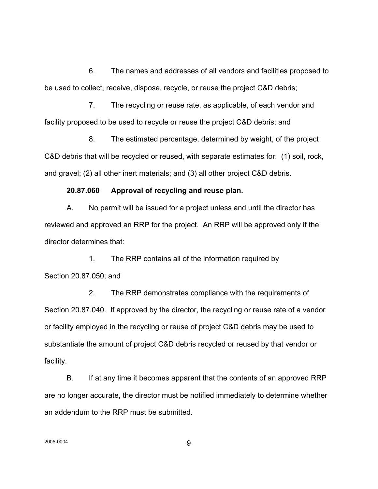6. The names and addresses of all vendors and facilities proposed to be used to collect, receive, dispose, recycle, or reuse the project C&D debris;

7. The recycling or reuse rate, as applicable, of each vendor and facility proposed to be used to recycle or reuse the project C&D debris; and

8. The estimated percentage, determined by weight, of the project C&D debris that will be recycled or reused, with separate estimates for: (1) soil, rock, and gravel; (2) all other inert materials; and (3) all other project C&D debris.

#### **20.87.060 Approval of recycling and reuse plan.**

A. No permit will be issued for a project unless and until the director has reviewed and approved an RRP for the project. An RRP will be approved only if the director determines that:

1. The RRP contains all of the information required by Section 20.87.050; and

2. The RRP demonstrates compliance with the requirements of Section 20.87.040. If approved by the director, the recycling or reuse rate of a vendor or facility employed in the recycling or reuse of project C&D debris may be used to substantiate the amount of project C&D debris recycled or reused by that vendor or facility.

B. If at any time it becomes apparent that the contents of an approved RRP are no longer accurate, the director must be notified immediately to determine whether an addendum to the RRP must be submitted.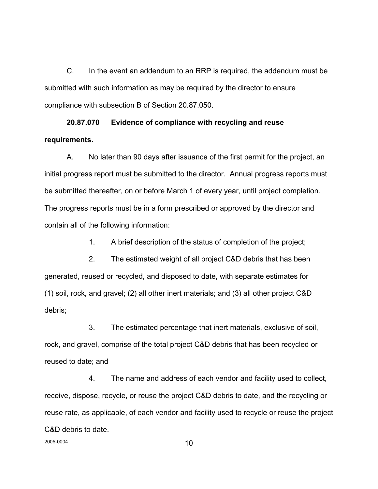C. In the event an addendum to an RRP is required, the addendum must be submitted with such information as may be required by the director to ensure compliance with subsection B of Section 20.87.050.

# **20.87.070 Evidence of compliance with recycling and reuse requirements.**

A. No later than 90 days after issuance of the first permit for the project, an initial progress report must be submitted to the director. Annual progress reports must be submitted thereafter, on or before March 1 of every year, until project completion. The progress reports must be in a form prescribed or approved by the director and contain all of the following information:

1. A brief description of the status of completion of the project;

2. The estimated weight of all project C&D debris that has been generated, reused or recycled, and disposed to date, with separate estimates for (1) soil, rock, and gravel; (2) all other inert materials; and (3) all other project C&D debris;

3. The estimated percentage that inert materials, exclusive of soil, rock, and gravel, comprise of the total project C&D debris that has been recycled or reused to date; and

4. The name and address of each vendor and facility used to collect, receive, dispose, recycle, or reuse the project C&D debris to date, and the recycling or reuse rate, as applicable, of each vendor and facility used to recycle or reuse the project C&D debris to date.

2005-0004 **10**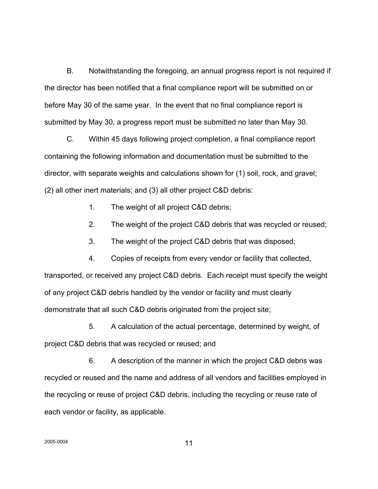B. Notwithstanding the foregoing, an annual progress report is not required if the director has been notified that a final compliance report will be submitted on or before May 30 of the same year. In the event that no final compliance report is submitted by May 30, a progress report must be submitted no later than May 30.

C. Within 45 days following project completion, a final compliance report containing the following information and documentation must be submitted to the director, with separate weights and calculations shown for (1) soil, rock, and gravel; (2) all other inert materials; and (3) all other project C&D debris:

1. The weight of all project C&D debris;

2. The weight of the project C&D debris that was recycled or reused;

3. The weight of the project C&D debris that was disposed;

4. Copies of receipts from every vendor or facility that collected, transported, or received any project C&D debris. Each receipt must specify the weight of any project C&D debris handled by the vendor or facility and must clearly demonstrate that all such C&D debris originated from the project site;

5. A calculation of the actual percentage, determined by weight, of project C&D debris that was recycled or reused; and

6. A description of the manner in which the project C&D debris was recycled or reused and the name and address of all vendors and facilities employed in the recycling or reuse of project C&D debris, including the recycling or reuse rate of each vendor or facility, as applicable.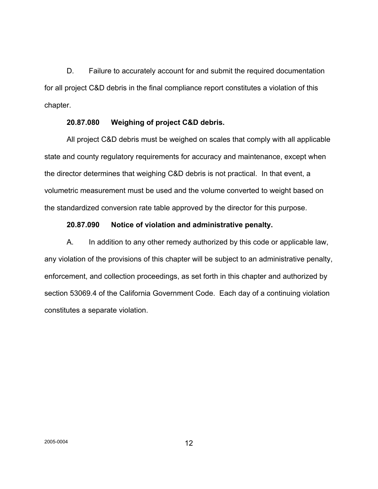D. Failure to accurately account for and submit the required documentation for all project C&D debris in the final compliance report constitutes a violation of this chapter.

# **20.87.080 Weighing of project C&D debris.**

All project C&D debris must be weighed on scales that comply with all applicable state and county regulatory requirements for accuracy and maintenance, except when the director determines that weighing C&D debris is not practical. In that event, a volumetric measurement must be used and the volume converted to weight based on the standardized conversion rate table approved by the director for this purpose.

# **20.87.090 Notice of violation and administrative penalty.**

A. In addition to any other remedy authorized by this code or applicable law, any violation of the provisions of this chapter will be subject to an administrative penalty, enforcement, and collection proceedings, as set forth in this chapter and authorized by section 53069.4 of the California Government Code. Each day of a continuing violation constitutes a separate violation.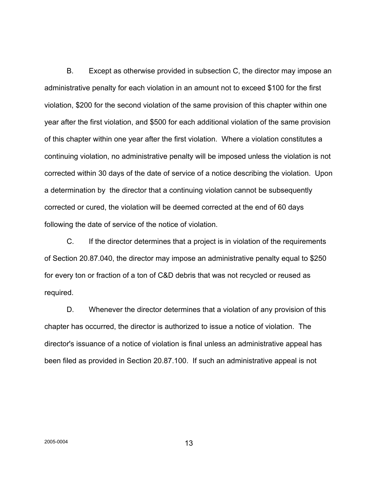B. Except as otherwise provided in subsection C, the director may impose an administrative penalty for each violation in an amount not to exceed \$100 for the first violation, \$200 for the second violation of the same provision of this chapter within one year after the first violation, and \$500 for each additional violation of the same provision of this chapter within one year after the first violation. Where a violation constitutes a continuing violation, no administrative penalty will be imposed unless the violation is not corrected within 30 days of the date of service of a notice describing the violation. Upon a determination by the director that a continuing violation cannot be subsequently corrected or cured, the violation will be deemed corrected at the end of 60 days following the date of service of the notice of violation.

C. If the director determines that a project is in violation of the requirements of Section 20.87.040, the director may impose an administrative penalty equal to \$250 for every ton or fraction of a ton of C&D debris that was not recycled or reused as required.

D. Whenever the director determines that a violation of any provision of this chapter has occurred, the director is authorized to issue a notice of violation. The director's issuance of a notice of violation is final unless an administrative appeal has been filed as provided in Section 20.87.100. If such an administrative appeal is not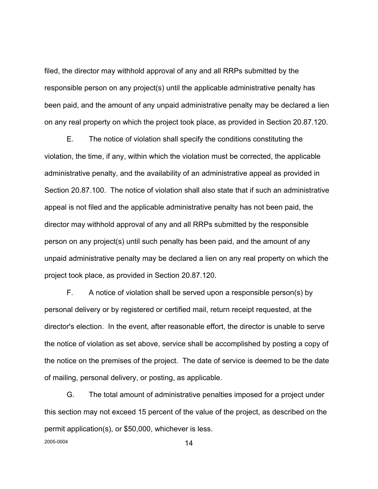filed, the director may withhold approval of any and all RRPs submitted by the responsible person on any project(s) until the applicable administrative penalty has been paid, and the amount of any unpaid administrative penalty may be declared a lien on any real property on which the project took place, as provided in Section 20.87.120.

E. The notice of violation shall specify the conditions constituting the violation, the time, if any, within which the violation must be corrected, the applicable administrative penalty, and the availability of an administrative appeal as provided in Section 20.87.100. The notice of violation shall also state that if such an administrative appeal is not filed and the applicable administrative penalty has not been paid, the director may withhold approval of any and all RRPs submitted by the responsible person on any project(s) until such penalty has been paid, and the amount of any unpaid administrative penalty may be declared a lien on any real property on which the project took place, as provided in Section 20.87.120.

F. A notice of violation shall be served upon a responsible person(s) by personal delivery or by registered or certified mail, return receipt requested, at the director's election. In the event, after reasonable effort, the director is unable to serve the notice of violation as set above, service shall be accomplished by posting a copy of the notice on the premises of the project. The date of service is deemed to be the date of mailing, personal delivery, or posting, as applicable.

G. The total amount of administrative penalties imposed for a project under this section may not exceed 15 percent of the value of the project, as described on the permit application(s), or \$50,000, whichever is less.  $2005-0004$  14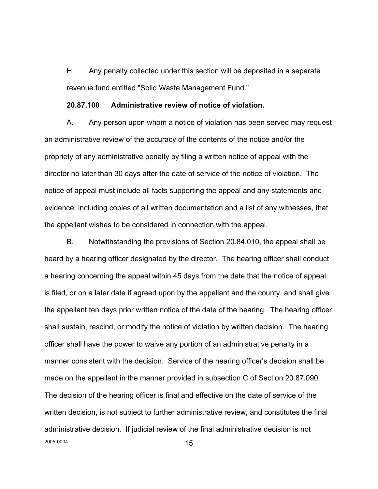H. Any penalty collected under this section will be deposited in a separate revenue fund entitled "Solid Waste Management Fund."

#### **20.87.100 Administrative review of notice of violation.**

A. Any person upon whom a notice of violation has been served may request an administrative review of the accuracy of the contents of the notice and/or the propriety of any administrative penalty by filing a written notice of appeal with the director no later than 30 days after the date of service of the notice of violation. The notice of appeal must include all facts supporting the appeal and any statements and evidence, including copies of all written documentation and a list of any witnesses, that the appellant wishes to be considered in connection with the appeal.

B. Notwithstanding the provisions of Section 20.84.010, the appeal shall be heard by a hearing officer designated by the director. The hearing officer shall conduct a hearing concerning the appeal within 45 days from the date that the notice of appeal is filed, or on a later date if agreed upon by the appellant and the county, and shall give the appellant ten days prior written notice of the date of the hearing. The hearing officer shall sustain, rescind, or modify the notice of violation by written decision. The hearing officer shall have the power to waive any portion of an administrative penalty in a manner consistent with the decision. Service of the hearing officer's decision shall be made on the appellant in the manner provided in subsection C of Section 20.87.090. The decision of the hearing officer is final and effective on the date of service of the written decision, is not subject to further administrative review, and constitutes the final administrative decision. If judicial review of the final administrative decision is not  $2005-0004$  15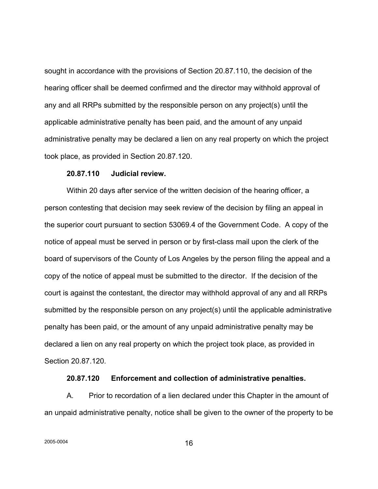sought in accordance with the provisions of Section 20.87.110, the decision of the hearing officer shall be deemed confirmed and the director may withhold approval of any and all RRPs submitted by the responsible person on any project(s) until the applicable administrative penalty has been paid, and the amount of any unpaid administrative penalty may be declared a lien on any real property on which the project took place, as provided in Section 20.87.120.

# **20.87.110 Judicial review.**

Within 20 days after service of the written decision of the hearing officer, a person contesting that decision may seek review of the decision by filing an appeal in the superior court pursuant to section 53069.4 of the Government Code. A copy of the notice of appeal must be served in person or by first-class mail upon the clerk of the board of supervisors of the County of Los Angeles by the person filing the appeal and a copy of the notice of appeal must be submitted to the director. If the decision of the court is against the contestant, the director may withhold approval of any and all RRPs submitted by the responsible person on any project(s) until the applicable administrative penalty has been paid, or the amount of any unpaid administrative penalty may be declared a lien on any real property on which the project took place, as provided in Section 20.87.120.

#### **20.87.120 Enforcement and collection of administrative penalties.**

A. Prior to recordation of a lien declared under this Chapter in the amount of an unpaid administrative penalty, notice shall be given to the owner of the property to be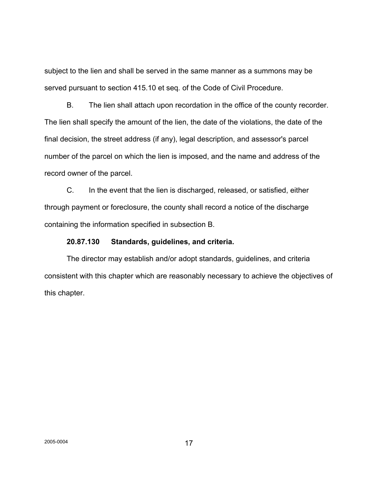subject to the lien and shall be served in the same manner as a summons may be served pursuant to section 415.10 et seq*.* of the Code of Civil Procedure.

B. The lien shall attach upon recordation in the office of the county recorder. The lien shall specify the amount of the lien, the date of the violations, the date of the final decision, the street address (if any), legal description, and assessor's parcel number of the parcel on which the lien is imposed, and the name and address of the record owner of the parcel.

C. In the event that the lien is discharged, released, or satisfied, either through payment or foreclosure, the county shall record a notice of the discharge containing the information specified in subsection B.

## **20.87.130 Standards, guidelines, and criteria.**

The director may establish and/or adopt standards, guidelines, and criteria consistent with this chapter which are reasonably necessary to achieve the objectives of this chapter.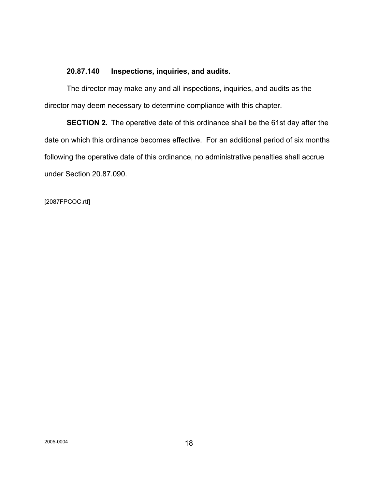# **20.87.140 Inspections, inquiries, and audits.**

The director may make any and all inspections, inquiries, and audits as the director may deem necessary to determine compliance with this chapter.

**SECTION 2.** The operative date of this ordinance shall be the 61st day after the date on which this ordinance becomes effective. For an additional period of six months following the operative date of this ordinance, no administrative penalties shall accrue under Section 20.87.090.

[2087FPCOC.rtf]